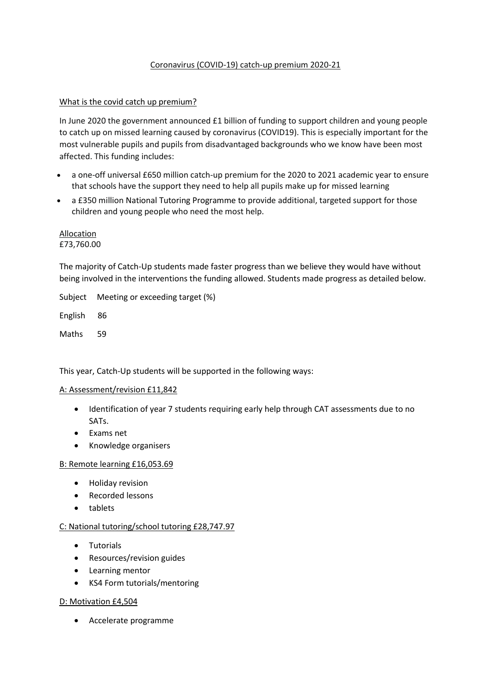# Coronavirus (COVID-19) catch-up premium 2020-21

## What is the covid catch up premium?

In June 2020 the government announced £1 billion of funding to support children and young people to catch up on missed learning caused by coronavirus (COVID19). This is especially important for the most vulnerable pupils and pupils from disadvantaged backgrounds who we know have been most affected. This funding includes:

- a one-off universal £650 million catch-up premium for the 2020 to 2021 academic year to ensure that schools have the support they need to help all pupils make up for missed learning
- a £350 millio[n National Tutoring Programme](https://nationaltutoring.org.uk/) to provide additional, targeted support for those children and young people who need the most help.

Allocation £73,760.00

The majority of Catch-Up students made faster progress than we believe they would have without being involved in the interventions the funding allowed. Students made progress as detailed below.

Subject Meeting or exceeding target (%)

English 86

Maths 59

This year, Catch‐Up students will be supported in the following ways:

### A: Assessment/revision £11,842

- Identification of year 7 students requiring early help through CAT assessments due to no SATs.
- Exams net
- Knowledge organisers

### B: Remote learning £16,053.69

- Holiday revision
- Recorded lessons
- tablets

### C: National tutoring/school tutoring £28,747.97

- Tutorials
- Resources/revision guides
- Learning mentor
- KS4 Form tutorials/mentoring

### D: Motivation £4,504

Accelerate programme